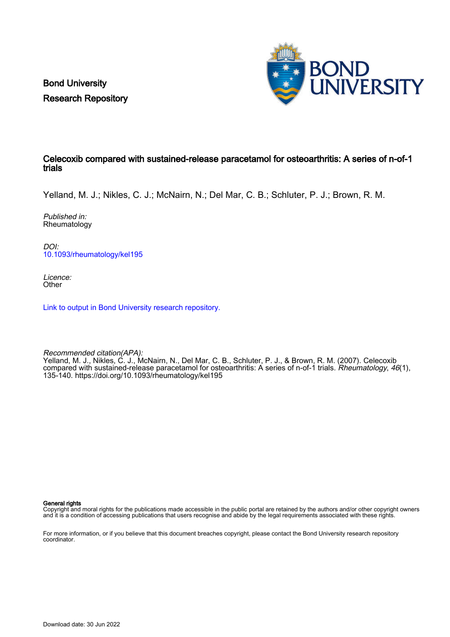Bond University Research Repository



#### Celecoxib compared with sustained-release paracetamol for osteoarthritis: A series of n-of-1 trials

Yelland, M. J.; Nikles, C. J.; McNairn, N.; Del Mar, C. B.; Schluter, P. J.; Brown, R. M.

Published in: Rheumatology

DOI: [10.1093/rheumatology/kel195](https://doi.org/10.1093/rheumatology/kel195)

Licence: **Other** 

[Link to output in Bond University research repository.](https://research.bond.edu.au/en/publications/af3e03ee-dbef-43a2-92be-663d116b472d)

Recommended citation(APA): Yelland, M. J., Nikles, C. J., McNairn, N., Del Mar, C. B., Schluter, P. J., & Brown, R. M. (2007). Celecoxib compared with sustained-release paracetamol for osteoarthritis: A series of n-of-1 trials. Rheumatology, 46(1), 135-140.<https://doi.org/10.1093/rheumatology/kel195>

General rights

Copyright and moral rights for the publications made accessible in the public portal are retained by the authors and/or other copyright owners and it is a condition of accessing publications that users recognise and abide by the legal requirements associated with these rights.

For more information, or if you believe that this document breaches copyright, please contact the Bond University research repository coordinator.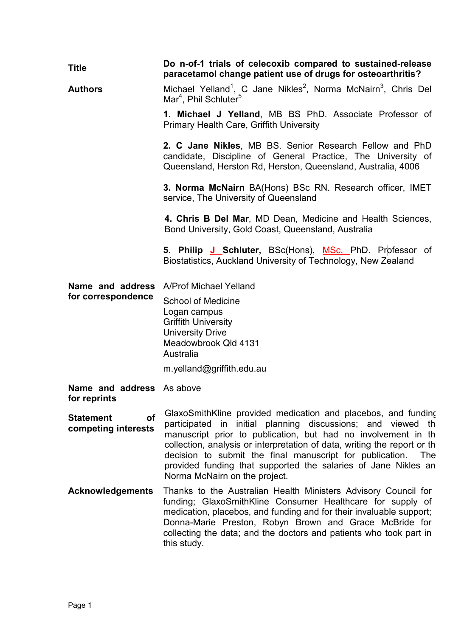| <b>Title</b>                                     | Do n-of-1 trials of celecoxib compared to sustained-release<br>paracetamol change patient use of drugs for osteoarthritis?                                                                                                                                                                                                                                                                                                                         |  |  |  |
|--------------------------------------------------|----------------------------------------------------------------------------------------------------------------------------------------------------------------------------------------------------------------------------------------------------------------------------------------------------------------------------------------------------------------------------------------------------------------------------------------------------|--|--|--|
| <b>Authors</b>                                   | Michael Yelland <sup>1</sup> , C Jane Nikles <sup>2</sup> , Norma McNairn <sup>3</sup> , Chris Del<br>Mar <sup>4</sup> , Phil Schluter <sup>5</sup>                                                                                                                                                                                                                                                                                                |  |  |  |
|                                                  | 1. Michael J Yelland, MB BS PhD. Associate Professor of<br><b>Primary Health Care, Griffith University</b>                                                                                                                                                                                                                                                                                                                                         |  |  |  |
|                                                  | 2. C Jane Nikles, MB BS. Senior Research Fellow and PhD<br>candidate, Discipline of General Practice, The University of<br>Queensland, Herston Rd, Herston, Queensland, Australia, 4006                                                                                                                                                                                                                                                            |  |  |  |
|                                                  | 3. Norma McNairn BA(Hons) BSc RN. Research officer, IMET<br>service, The University of Queensland                                                                                                                                                                                                                                                                                                                                                  |  |  |  |
|                                                  | 4. Chris B Del Mar, MD Dean, Medicine and Health Sciences,<br>Bond University, Gold Coast, Queensland, Australia                                                                                                                                                                                                                                                                                                                                   |  |  |  |
|                                                  | 5. Philip J Schluter, BSc(Hons), MSc, PhD. Professor of<br>Biostatistics, Auckland University of Technology, New Zealand                                                                                                                                                                                                                                                                                                                           |  |  |  |
| Name and address                                 | A/Prof Michael Yelland                                                                                                                                                                                                                                                                                                                                                                                                                             |  |  |  |
| for correspondence                               | <b>School of Medicine</b><br>Logan campus<br><b>Griffith University</b><br><b>University Drive</b><br>Meadowbrook Qld 4131<br>Australia                                                                                                                                                                                                                                                                                                            |  |  |  |
|                                                  | m.yelland@griffith.edu.au                                                                                                                                                                                                                                                                                                                                                                                                                          |  |  |  |
| <b>Name and address</b> As above<br>for reprints |                                                                                                                                                                                                                                                                                                                                                                                                                                                    |  |  |  |
| <b>Statement</b><br>Οf<br>competing interests    | GlaxoSmithKline provided medication and placebos, and funding<br>initial planning discussions; and viewed th<br>participated in<br>manuscript prior to publication, but had no involvement in th<br>collection, analysis or interpretation of data, writing the report or th<br>decision to submit the final manuscript for publication.<br>The<br>provided funding that supported the salaries of Jane Nikles an<br>Norma McNairn on the project. |  |  |  |
| <b>Acknowledgements</b>                          | Thanks to the Australian Health Ministers Advisory Council for<br>funding; GlaxoSmithKline Consumer Healthcare for supply of<br>medication, placebos, and funding and for their invaluable support;<br>Donna-Marie Preston, Robyn Brown and Grace McBride for<br>collecting the data; and the doctors and patients who took part in<br>this study.                                                                                                 |  |  |  |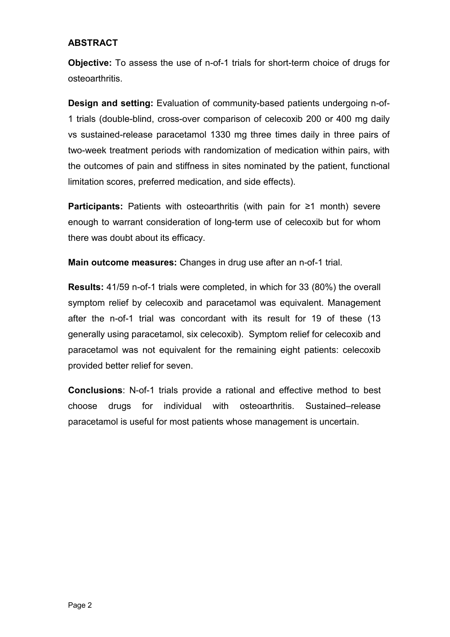## **ABSTRACT**

**Objective:** To assess the use of n-of-1 trials for short-term choice of drugs for osteoarthritis.

**Design and setting:** Evaluation of community-based patients undergoing n-of-1 trials (double-blind, cross-over comparison of celecoxib 200 or 400 mg daily vs sustained-release paracetamol 1330 mg three times daily in three pairs of two-week treatment periods with randomization of medication within pairs, with the outcomes of pain and stiffness in sites nominated by the patient, functional limitation scores, preferred medication, and side effects).

**Participants:** Patients with osteoarthritis (with pain for ≥1 month) severe enough to warrant consideration of long-term use of celecoxib but for whom there was doubt about its efficacy.

**Main outcome measures:** Changes in drug use after an n-of-1 trial.

**Results:** 41/59 n-of-1 trials were completed, in which for 33 (80%) the overall symptom relief by celecoxib and paracetamol was equivalent. Management after the n-of-1 trial was concordant with its result for 19 of these (13 generally using paracetamol, six celecoxib). Symptom relief for celecoxib and paracetamol was not equivalent for the remaining eight patients: celecoxib provided better relief for seven.

**Conclusions**: N-of-1 trials provide a rational and effective method to best choose drugs for individual with osteoarthritis. Sustained–release paracetamol is useful for most patients whose management is uncertain.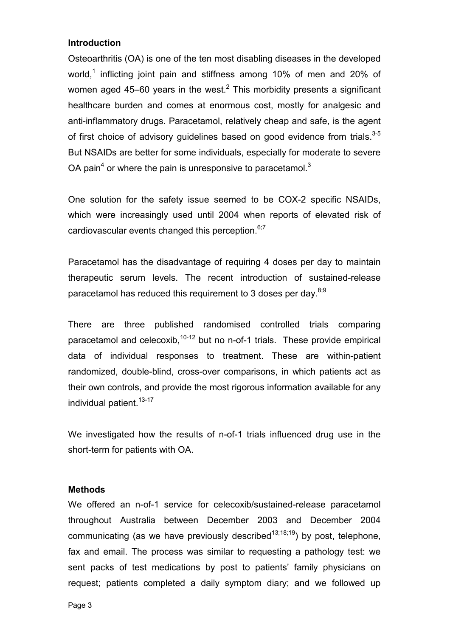#### **Introduction**

Osteoarthritis (OA) is one of the ten most disabling diseases in the developed world.<sup>1</sup> inflicting joint pain and stiffness among 10% of men and 20% of women aged 45–60 years in the west.<sup>2</sup> This morbidity presents a significant healthcare burden and comes at enormous cost, mostly for analgesic and anti-inflammatory drugs. Paracetamol, relatively cheap and safe, is the agent of first choice of advisory guidelines based on good evidence from trials.<sup>3-5</sup> But NSAIDs are better for some individuals, especially for moderate to severe OA pain<sup>4</sup> or where the pain is unresponsive to paracetamol.<sup>3</sup>

One solution for the safety issue seemed to be COX-2 specific NSAIDs, which were increasingly used until 2004 when reports of elevated risk of cardiovascular events changed this perception. $6,7$ 

Paracetamol has the disadvantage of requiring 4 doses per day to maintain therapeutic serum levels. The recent introduction of sustained-release paracetamol has reduced this requirement to 3 doses per day. $8,9$ 

There are three published randomised controlled trials comparing paracetamol and celecoxib,  $10-12$  but no n-of-1 trials. These provide empirical data of individual responses to treatment. These are within-patient randomized, double-blind, cross-over comparisons, in which patients act as their own controls, and provide the most rigorous information available for any individual patient.  $13-17$ 

We investigated how the results of n-of-1 trials influenced drug use in the short-term for patients with OA.

#### **Methods**

We offered an n-of-1 service for celecoxib/sustained-release paracetamol throughout Australia between December 2003 and December 2004 communicating (as we have previously described<sup>13;18;19</sup>) by post, telephone, fax and email. The process was similar to requesting a pathology test: we sent packs of test medications by post to patients' family physicians on request; patients completed a daily symptom diary; and we followed up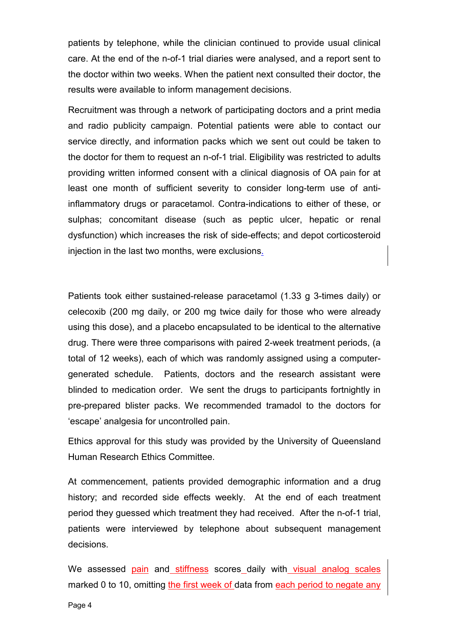patients by telephone, while the clinician continued to provide usual clinical care. At the end of the n-of-1 trial diaries were analysed, and a report sent to the doctor within two weeks. When the patient next consulted their doctor, the results were available to inform management decisions.

Recruitment was through a network of participating doctors and a print media and radio publicity campaign. Potential patients were able to contact our service directly, and information packs which we sent out could be taken to the doctor for them to request an n-of-1 trial. Eligibility was restricted to adults providing written informed consent with a clinical diagnosis of OA pain for at least one month of sufficient severity to consider long-term use of antiinflammatory drugs or paracetamol. Contra-indications to either of these, or sulphas; concomitant disease (such as peptic ulcer, hepatic or renal dysfunction) which increases the risk of side-effects; and depot corticosteroid injection in the last two months, were exclusions.

Patients took either sustained-release paracetamol (1.33 g 3-times daily) or celecoxib (200 mg daily, or 200 mg twice daily for those who were already using this dose), and a placebo encapsulated to be identical to the alternative drug. There were three comparisons with paired 2-week treatment periods, (a total of 12 weeks), each of which was randomly assigned using a computergenerated schedule. Patients, doctors and the research assistant were blinded to medication order. We sent the drugs to participants fortnightly in pre-prepared blister packs. We recommended tramadol to the doctors for 'escape' analgesia for uncontrolled pain.

Ethics approval for this study was provided by the University of Queensland Human Research Ethics Committee.

At commencement, patients provided demographic information and a drug history; and recorded side effects weekly. At the end of each treatment period they guessed which treatment they had received. After the n-of-1 trial, patients were interviewed by telephone about subsequent management decisions.

We assessed pain and stiffness scores daily with visual analog scales marked 0 to 10, omitting the first week of data from each period to negate any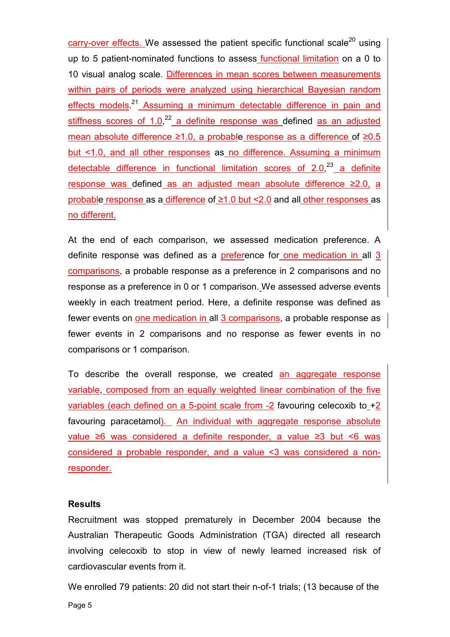carry-over effects. We assessed the patient specific functional scale<sup>20</sup> using up to 5 patient-nominated functions to assess functional limitation on a 0 to 10 visual analog scale. Differences in mean scores between measurements within pairs of periods were analyzed using hierarchical Bayesian random effects models.<sup>21</sup> Assuming a minimum detectable difference in pain and stiffness scores of 1.0,<sup>22</sup> a definite response was defined as an adjusted mean absolute difference  $\geq 1.0$ , a probable response as a difference of  $\geq 0.5$ but <1.0, and all other responses as no difference. Assuming a minimum detectable difference in functional limitation scores of 2.0,<sup>23</sup> a definite response was defined as an adjusted mean absolute difference  $\geq 2.0$ , a probable response as a difference of  $\geq 1.0$  but < 2.0 and all other responses as no different.

At the end of each comparison, we assessed medication preference. A definite response was defined as a preference for one medication in all 3 comparisons, a probable response as a preference in 2 comparisons and no response as a preference in 0 or 1 comparison. We assessed adverse events weekly in each treatment period. Here, a definite response was defined as fewer events on one medication in all 3 comparisons, a probable response as fewer events in 2 comparisons and no response as fewer events in no comparisons or 1 comparison.

To describe the overall response, we created an aggregate response variable, composed from an equally weighted linear combination of the five variables (each defined on a 5-point scale from  $-2$  favouring celecoxib to  $+2$ favouring paracetamol). An individual with aggregate response absolute value  $\geq 6$  was considered a definite responder, a value  $\geq 3$  but  $\leq 6$  was considered a probable responder, and a value <3 was considered a nonresponder.

### **Results**

Recruitment was stopped prematurely in December 2004 because the Australian Therapeutic Goods Administration (TGA) directed all research involving celecoxib to stop in view of newly learned increased risk of cardiovascular events from it.

We enrolled 79 patients: 20 did not start their n-of-1 trials; (13 because of the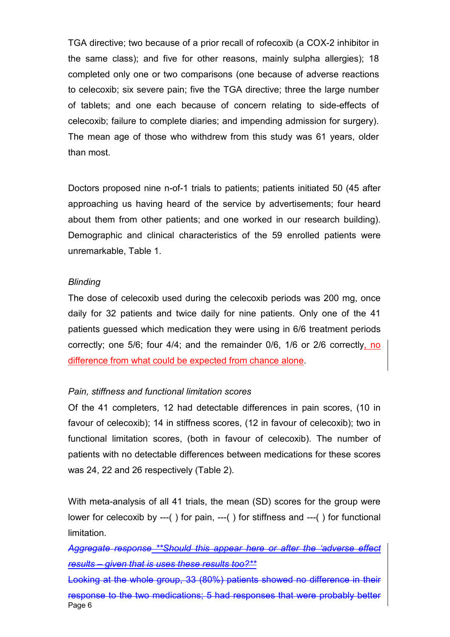TGA directive; two because of a prior recall of rofecoxib (a COX-2 inhibitor in the same class); and five for other reasons, mainly sulpha allergies); 18 completed only one or two comparisons (one because of adverse reactions to celecoxib; six severe pain; five the TGA directive; three the large number of tablets; and one each because of concern relating to side-effects of celecoxib; failure to complete diaries; and impending admission for surgery). The mean age of those who withdrew from this study was 61 years, older than most.

Doctors proposed nine n-of-1 trials to patients; patients initiated 50 (45 after approaching us having heard of the service by advertisements; four heard about them from other patients; and one worked in our research building). Demographic and clinical characteristics of the 59 enrolled patients were unremarkable, Table 1.

#### *Blinding*

The dose of celecoxib used during the celecoxib periods was 200 mg, once daily for 32 patients and twice daily for nine patients. Only one of the 41 patients guessed which medication they were using in 6/6 treatment periods correctly; one 5/6; four 4/4; and the remainder 0/6, 1/6 or 2/6 correctly, no difference from what could be expected from chance alone.

#### *Pain, stiffness and functional limitation scores*

Of the 41 completers, 12 had detectable differences in pain scores, (10 in favour of celecoxib); 14 in stiffness scores, (12 in favour of celecoxib); two in functional limitation scores, (both in favour of celecoxib). The number of patients with no detectable differences between medications for these scores was 24, 22 and 26 respectively (Table 2).

With meta-analysis of all 41 trials, the mean (SD) scores for the group were lower for celecoxib by ---( ) for pain, ---( ) for stiffness and ---( ) for functional limitation.

*Aggregate response \*\*Should this appear here or after the 'adverse effect results – given that is uses these results too?\*\**

Page 6 Looking at the whole group, 33 (80%) patients showed no difference in their response to the two medications; 5 had responses that were probably better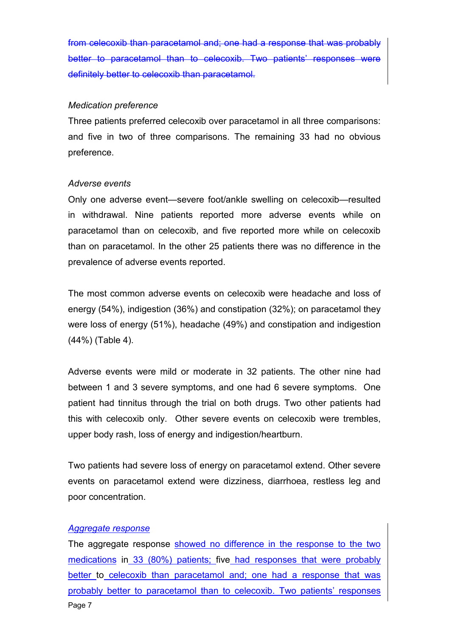from celecoxib than paracetamol and; one had a response that was probably better to paracetamol than to celecoxib. Two patients' responses definitely better to celecoxib than paracetamol.

#### *Medication preference*

Three patients preferred celecoxib over paracetamol in all three comparisons: and five in two of three comparisons. The remaining 33 had no obvious preference.

#### *Adverse events*

Only one adverse event—severe foot/ankle swelling on celecoxib—resulted in withdrawal. Nine patients reported more adverse events while on paracetamol than on celecoxib, and five reported more while on celecoxib than on paracetamol. In the other 25 patients there was no difference in the prevalence of adverse events reported.

The most common adverse events on celecoxib were headache and loss of energy (54%), indigestion (36%) and constipation (32%); on paracetamol they were loss of energy (51%), headache (49%) and constipation and indigestion (44%) (Table 4).

Adverse events were mild or moderate in 32 patients. The other nine had between 1 and 3 severe symptoms, and one had 6 severe symptoms. One patient had tinnitus through the trial on both drugs. Two other patients had this with celecoxib only. Other severe events on celecoxib were trembles, upper body rash, loss of energy and indigestion/heartburn.

Two patients had severe loss of energy on paracetamol extend. Other severe events on paracetamol extend were dizziness, diarrhoea, restless leg and poor concentration.

#### *Aggregate response*

Page 7 The aggregate response showed no difference in the response to the two medications in 33 (80%) patients; five had responses that were probably better to celecoxib than paracetamol and; one had a response that was probably better to paracetamol than to celecoxib. Two patients' responses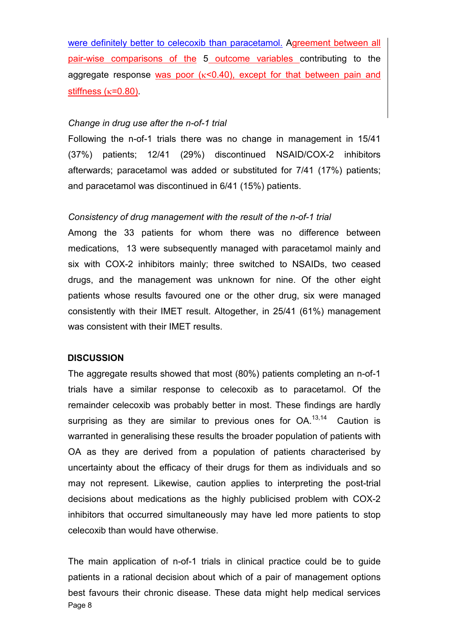were definitely better to celecoxib than paracetamol. Agreement between all pair-wise comparisons of the 5 outcome variables contributing to the aggregate response was poor  $(\kappa < 0.40)$ , except for that between pain and stiffness  $(\kappa=0.80)$ .

#### *Change in drug use after the n-of-1 trial*

Following the n-of-1 trials there was no change in management in 15/41 (37%) patients; 12/41 (29%) discontinued NSAID/COX-2 inhibitors afterwards; paracetamol was added or substituted for 7/41 (17%) patients; and paracetamol was discontinued in 6/41 (15%) patients.

### *Consistency of drug management with the result of the n-of-1 trial*

Among the 33 patients for whom there was no difference between medications, 13 were subsequently managed with paracetamol mainly and six with COX-2 inhibitors mainly; three switched to NSAIDs, two ceased drugs, and the management was unknown for nine. Of the other eight patients whose results favoured one or the other drug, six were managed consistently with their IMET result. Altogether, in 25/41 (61%) management was consistent with their IMET results.

### **DISCUSSION**

The aggregate results showed that most (80%) patients completing an n-of-1 trials have a similar response to celecoxib as to paracetamol. Of the remainder celecoxib was probably better in most. These findings are hardly surprising as they are similar to previous ones for  $OA^{13,14}$  Caution is warranted in generalising these results the broader population of patients with OA as they are derived from a population of patients characterised by uncertainty about the efficacy of their drugs for them as individuals and so may not represent. Likewise, caution applies to interpreting the post-trial decisions about medications as the highly publicised problem with COX-2 inhibitors that occurred simultaneously may have led more patients to stop celecoxib than would have otherwise.

Page 8 The main application of n-of-1 trials in clinical practice could be to guide patients in a rational decision about which of a pair of management options best favours their chronic disease. These data might help medical services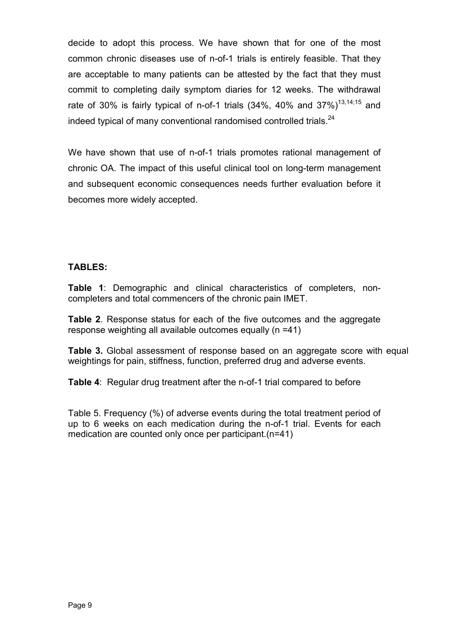decide to adopt this process. We have shown that for one of the most common chronic diseases use of n-of-1 trials is entirely feasible. That they are acceptable to many patients can be attested by the fact that they must commit to completing daily symptom diaries for 12 weeks. The withdrawal rate of 30% is fairly typical of n-of-1 trials (34%, 40% and 37%)<sup>13,14;15</sup> and indeed typical of many conventional randomised controlled trials.<sup>24</sup>

We have shown that use of n-of-1 trials promotes rational management of chronic OA. The impact of this useful clinical tool on long-term management and subsequent economic consequences needs further evaluation before it becomes more widely accepted.

### **TABLES:**

**Table 1**: Demographic and clinical characteristics of completers, noncompleters and total commencers of the chronic pain IMET.

**Table 2**. Response status for each of the five outcomes and the aggregate response weighting all available outcomes equally (n =41)

**Table 3.** Global assessment of response based on an aggregate score with equal weightings for pain, stiffness, function, preferred drug and adverse events.

**Table 4**: Regular drug treatment after the n-of-1 trial compared to before

Table 5. Frequency (%) of adverse events during the total treatment period of up to 6 weeks on each medication during the n-of-1 trial. Events for each medication are counted only once per participant.(n=41)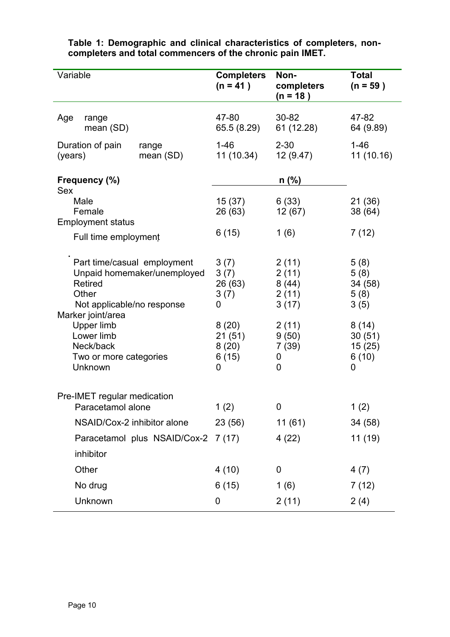| Variable                                                                                                                                                                                                               |                    | <b>Completers</b><br>$(n = 41)$                                                | Non-<br>completers<br>$(n = 18)$                                               | <b>Total</b><br>$(n = 59)$                                                         |
|------------------------------------------------------------------------------------------------------------------------------------------------------------------------------------------------------------------------|--------------------|--------------------------------------------------------------------------------|--------------------------------------------------------------------------------|------------------------------------------------------------------------------------|
| Age<br>range<br>mean (SD)                                                                                                                                                                                              |                    | 47-80<br>65.5 (8.29)                                                           | $30 - 82$<br>61 (12.28)                                                        | 47-82<br>64 (9.89)                                                                 |
| Duration of pain<br>(years)                                                                                                                                                                                            | range<br>mean (SD) | $1 - 46$<br>11(10.34)                                                          | $2 - 30$<br>12(9.47)                                                           | $1 - 46$<br>11(10.16)                                                              |
| Frequency (%)<br>Sex<br>Male<br>Female                                                                                                                                                                                 |                    |                                                                                | $n$ (%)                                                                        |                                                                                    |
|                                                                                                                                                                                                                        |                    | 15(37)<br>26 (63)                                                              | 6(33)<br>12(67)                                                                | 21 (36)<br>38 (64)                                                                 |
| <b>Employment status</b><br>Full time employment                                                                                                                                                                       |                    | 6(15)                                                                          | 1(6)                                                                           | 7(12)                                                                              |
| Part time/casual employment<br>Unpaid homemaker/unemployed<br><b>Retired</b><br>Other<br>Not applicable/no response<br>Marker joint/area<br>Upper limb<br>Lower limb<br>Neck/back<br>Two or more categories<br>Unknown |                    | 3(7)<br>3(7)<br>26 (63)<br>3(7)<br>0<br>8(20)<br>21(51)<br>8(20)<br>6(15)<br>0 | 2(11)<br>2(11)<br>8(44)<br>2(11)<br>3(17)<br>2(11)<br>9(50)<br>7(39)<br>0<br>0 | 5(8)<br>5(8)<br>34 (58)<br>5(8)<br>3(5)<br>8(14)<br>30(51)<br>15(25)<br>6(10)<br>0 |
| Pre-IMET regular medication<br>Paracetamol alone                                                                                                                                                                       |                    | 1(2)                                                                           | $\mathbf 0$                                                                    | 1(2)                                                                               |
| NSAID/Cox-2 inhibitor alone                                                                                                                                                                                            |                    | 23 (56)                                                                        | 11(61)                                                                         | 34 (58)                                                                            |
| Paracetamol plus NSAID/Cox-2 7 (17)<br>inhibitor                                                                                                                                                                       |                    |                                                                                | 4(22)                                                                          | 11(19)                                                                             |
| Other                                                                                                                                                                                                                  |                    | 4(10)                                                                          | $\mathbf 0$                                                                    | 4(7)                                                                               |
| No drug                                                                                                                                                                                                                |                    | 6(15)                                                                          | 1(6)                                                                           | 7(12)                                                                              |
| Unknown                                                                                                                                                                                                                |                    | $\mathbf 0$                                                                    | 2(11)                                                                          | 2(4)                                                                               |

### **Table 1: Demographic and clinical characteristics of completers, noncompleters and total commencers of the chronic pain IMET.**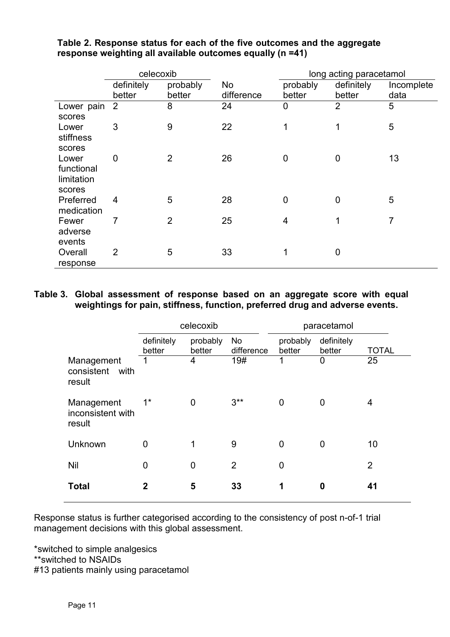|              | celecoxib      |                |            | long acting paracetamol |                |                |
|--------------|----------------|----------------|------------|-------------------------|----------------|----------------|
|              | definitely     | probably       | No         | probably                | definitely     | Incomplete     |
|              | better         | better         | difference | better                  | better         | data           |
| Lower pain 2 |                | 8              | 24         | $\overline{0}$          | $\overline{2}$ | 5              |
| scores       |                |                |            |                         |                |                |
| Lower        | 3              | 9              | 22         | 1                       | 1              | 5              |
| stiffness    |                |                |            |                         |                |                |
| scores       |                |                |            |                         |                |                |
| Lower        | 0              | $\overline{2}$ | 26         | $\overline{0}$          | $\overline{0}$ | 13             |
| functional   |                |                |            |                         |                |                |
| limitation   |                |                |            |                         |                |                |
| scores       |                |                |            |                         |                |                |
| Preferred    | 4              | 5              | 28         | $\mathbf 0$             | 0              | 5              |
| medication   |                |                |            |                         |                |                |
| Fewer        | 7              | $\overline{2}$ | 25         | 4                       | 1              | $\overline{7}$ |
| adverse      |                |                |            |                         |                |                |
| events       |                |                |            |                         |                |                |
| Overall      | $\overline{2}$ | 5              | 33         | 1                       | 0              |                |
| response     |                |                |            |                         |                |                |

# **Table 2. Response status for each of the five outcomes and the aggregate response weighting all available outcomes equally (n =41)**

## **Table 3. Global assessment of response based on an aggregate score with equal weightings for pain, stiffness, function, preferred drug and adverse events.**

|                                            | celecoxib            |                    |                         | paracetamol        |                      |                |  |
|--------------------------------------------|----------------------|--------------------|-------------------------|--------------------|----------------------|----------------|--|
|                                            | definitely<br>better | probably<br>better | <b>No</b><br>difference | probably<br>better | definitely<br>better | <b>TOTAL</b>   |  |
| Management<br>consistent<br>with<br>result | 1                    | 4                  | 19#                     | 1                  | 0                    | 25             |  |
| Management<br>inconsistent with<br>result  | $1^{\star}$          | $\overline{0}$     | $3***$                  | 0                  | $\overline{0}$       | 4              |  |
| Unknown                                    | 0                    | 1                  | 9                       | 0                  | 0                    | 10             |  |
| Nil                                        | 0                    | 0                  | $\overline{2}$          | 0                  |                      | $\overline{2}$ |  |
| <b>Total</b>                               | $\mathbf{2}$         | 5                  | 33                      | 1                  | 0                    | 41             |  |

Response status is further categorised according to the consistency of post n-of-1 trial management decisions with this global assessment.

\*switched to simple analgesics \*\*switched to NSAIDs #13 patients mainly using paracetamol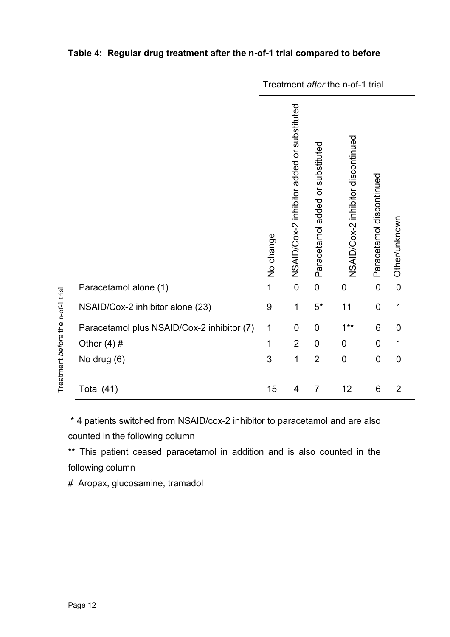|                                            | Treatment after the n-of-1 trial |                                            |                                  |                                    |                          |                |
|--------------------------------------------|----------------------------------|--------------------------------------------|----------------------------------|------------------------------------|--------------------------|----------------|
|                                            | No change                        | NSAID/Cox-2 inhibitor added or substituted | Paracetamol added or substituted | NSAID/Cox-2 inhibitor discontinued | Paracetamol discontinued | Other/unknown  |
| Paracetamol alone (1)                      | $\overline{1}$                   | $\mathbf 0$                                | $\mathbf 0$                      | $\mathbf 0$                        | $\mathbf 0$              | $\overline{0}$ |
| NSAID/Cox-2 inhibitor alone (23)           | 9                                | 1                                          | $5^{\star}$                      | 11                                 | $\mathbf 0$              | 1              |
| Paracetamol plus NSAID/Cox-2 inhibitor (7) | 1                                | 0                                          | $\boldsymbol{0}$                 | $1***$                             | 6                        | 0              |
| Other $(4)$ #                              | 1                                | $\overline{2}$                             | 0                                | $\mathbf 0$                        | 0                        | 1              |
| No drug (6)                                | 3                                | 1                                          | $\overline{2}$                   | $\mathbf 0$                        | $\mathbf 0$              | 0              |
| Total (41)                                 | 15                               | 4                                          | $\overline{7}$                   | 12                                 | 6                        | $\overline{2}$ |

# **Table 4: Regular drug treatment after the n-of-1 trial compared to before**

\* 4 patients switched from NSAID/cox-2 inhibitor to paracetamol and are also counted in the following column

\*\* This patient ceased paracetamol in addition and is also counted in the following column

# Aropax, glucosamine, tramadol

*efore* the

n-of-1 trial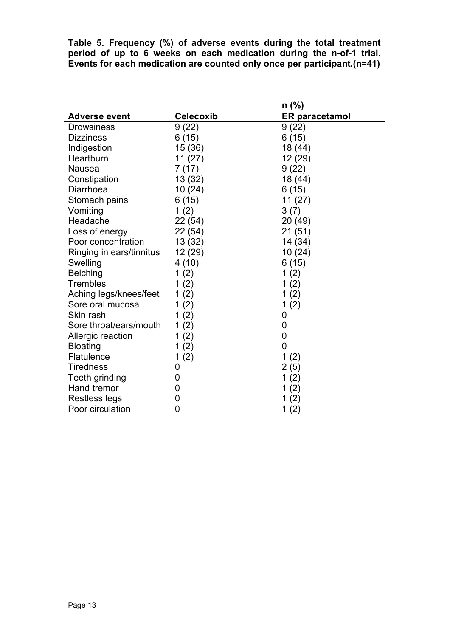**Table 5. Frequency (%) of adverse events during the total treatment period of up to 6 weeks on each medication during the n-of-1 trial. Events for each medication are counted only once per participant.(n=41)** 

|                          | n (%)            |                       |  |
|--------------------------|------------------|-----------------------|--|
| <b>Adverse event</b>     | <b>Celecoxib</b> | <b>ER paracetamol</b> |  |
| <b>Drowsiness</b>        | 9(22)            | 9(22)                 |  |
| <b>Dizziness</b>         | 6(15)            | 6(15)                 |  |
| Indigestion              | 15 (36)          | 18 (44)               |  |
| Heartburn                | 11(27)           | 12 (29)               |  |
| Nausea                   | 7(17)            | 9(22)                 |  |
| Constipation             | 13 (32)          | 18 (44)               |  |
| Diarrhoea                | 10(24)           | 6(15)                 |  |
| Stomach pains            | 6(15)            | 11(27)                |  |
| Vomiting                 | 1(2)             | 3(7)                  |  |
| Headache                 | 22 (54)          | 20 (49)               |  |
| Loss of energy           | 22 (54)          | 21(51)                |  |
| Poor concentration       | 13 (32)          | 14 (34)               |  |
| Ringing in ears/tinnitus | 12 (29)          | 10(24)                |  |
| Swelling                 | 4(10)            | 6(15)                 |  |
| <b>Belching</b>          | 1(2)             | 1(2)                  |  |
| <b>Trembles</b>          | 1(2)             | 1(2)                  |  |
| Aching legs/knees/feet   | 1(2)             | 1(2)                  |  |
| Sore oral mucosa         | 1 $(2)$          | 1(2)                  |  |
| Skin rash                | 1(2)             | 0                     |  |
| Sore throat/ears/mouth   | 1(2)             | $\mathbf 0$           |  |
| Allergic reaction        | 1(2)             | $\mathbf 0$           |  |
| <b>Bloating</b>          | 1(2)             | 0                     |  |
| Flatulence               | 1(2)             | 1<br>(2)              |  |
| <b>Tiredness</b>         | 0                | 2(5)                  |  |
| Teeth grinding           | 0                | 1(2)                  |  |
| Hand tremor              | 0                | 1(2)                  |  |
| Restless legs            | 0                | 1(2)                  |  |
| Poor circulation         | 0                | 1(2)                  |  |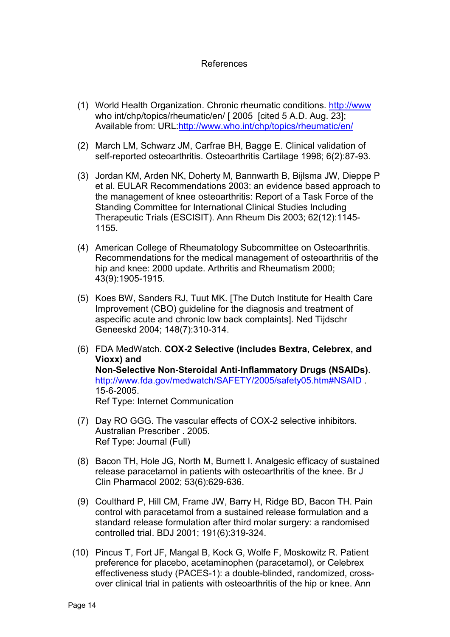## References

- (1) World Health Organization. Chronic rheumatic conditions. http://www who int/chp/topics/rheumatic/en/ [ 2005 [cited 5 A.D. Aug. 23]; Available from: URL:http://www.who.int/chp/topics/rheumatic/en/
- (2) March LM, Schwarz JM, Carfrae BH, Bagge E. Clinical validation of self-reported osteoarthritis. Osteoarthritis Cartilage 1998; 6(2):87-93.
- (3) Jordan KM, Arden NK, Doherty M, Bannwarth B, Bijlsma JW, Dieppe P et al. EULAR Recommendations 2003: an evidence based approach to the management of knee osteoarthritis: Report of a Task Force of the Standing Committee for International Clinical Studies Including Therapeutic Trials (ESCISIT). Ann Rheum Dis 2003; 62(12):1145- 1155.
- (4) American College of Rheumatology Subcommittee on Osteoarthritis. Recommendations for the medical management of osteoarthritis of the hip and knee: 2000 update. Arthritis and Rheumatism 2000; 43(9):1905-1915.
- (5) Koes BW, Sanders RJ, Tuut MK. [The Dutch Institute for Health Care Improvement (CBO) guideline for the diagnosis and treatment of aspecific acute and chronic low back complaints]. Ned Tijdschr Geneeskd 2004; 148(7):310-314.
- (6) FDA MedWatch. **COX-2 Selective (includes Bextra, Celebrex, and Vioxx) and Non-Selective Non-Steroidal Anti-Inflammatory Drugs (NSAIDs)**. http://www.fda.gov/medwatch/SAFETY/2005/safety05.htm#NSAID . 15-6-2005. Ref Type: Internet Communication
- (7) Day RO GGG. The vascular effects of COX-2 selective inhibitors. Australian Prescriber . 2005. Ref Type: Journal (Full)
- (8) Bacon TH, Hole JG, North M, Burnett I. Analgesic efficacy of sustained release paracetamol in patients with osteoarthritis of the knee. Br J Clin Pharmacol 2002; 53(6):629-636.
- (9) Coulthard P, Hill CM, Frame JW, Barry H, Ridge BD, Bacon TH. Pain control with paracetamol from a sustained release formulation and a standard release formulation after third molar surgery: a randomised controlled trial. BDJ 2001; 191(6):319-324.
- (10) Pincus T, Fort JF, Mangal B, Kock G, Wolfe F, Moskowitz R. Patient preference for placebo, acetaminophen (paracetamol), or Celebrex effectiveness study (PACES-1): a double-blinded, randomized, crossover clinical trial in patients with osteoarthritis of the hip or knee. Ann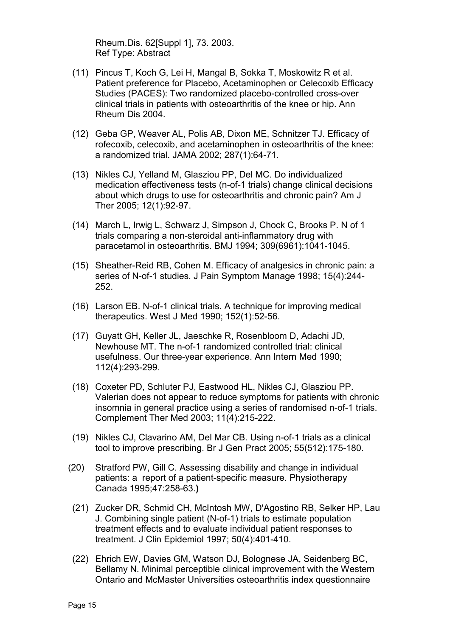Rheum.Dis. 62[Suppl 1], 73. 2003. Ref Type: Abstract

- (11) Pincus T, Koch G, Lei H, Mangal B, Sokka T, Moskowitz R et al. Patient preference for Placebo, Acetaminophen or Celecoxib Efficacy Studies (PACES): Two randomized placebo-controlled cross-over clinical trials in patients with osteoarthritis of the knee or hip. Ann Rheum Dis 2004.
- (12) Geba GP, Weaver AL, Polis AB, Dixon ME, Schnitzer TJ. Efficacy of rofecoxib, celecoxib, and acetaminophen in osteoarthritis of the knee: a randomized trial. JAMA 2002; 287(1):64-71.
- (13) Nikles CJ, Yelland M, Glasziou PP, Del MC. Do individualized medication effectiveness tests (n-of-1 trials) change clinical decisions about which drugs to use for osteoarthritis and chronic pain? Am J Ther 2005; 12(1):92-97.
- (14) March L, Irwig L, Schwarz J, Simpson J, Chock C, Brooks P. N of 1 trials comparing a non-steroidal anti-inflammatory drug with paracetamol in osteoarthritis. BMJ 1994; 309(6961):1041-1045.
- (15) Sheather-Reid RB, Cohen M. Efficacy of analgesics in chronic pain: a series of N-of-1 studies. J Pain Symptom Manage 1998; 15(4):244- 252.
- (16) Larson EB. N-of-1 clinical trials. A technique for improving medical therapeutics. West J Med 1990; 152(1):52-56.
- (17) Guyatt GH, Keller JL, Jaeschke R, Rosenbloom D, Adachi JD, Newhouse MT. The n-of-1 randomized controlled trial: clinical usefulness. Our three-year experience. Ann Intern Med 1990; 112(4):293-299.
- (18) Coxeter PD, Schluter PJ, Eastwood HL, Nikles CJ, Glasziou PP. Valerian does not appear to reduce symptoms for patients with chronic insomnia in general practice using a series of randomised n-of-1 trials. Complement Ther Med 2003; 11(4):215-222.
- (19) Nikles CJ, Clavarino AM, Del Mar CB. Using n-of-1 trials as a clinical tool to improve prescribing. Br J Gen Pract 2005; 55(512):175-180.
- (20) Stratford PW, Gill C. Assessing disability and change in individual patients: a report of a patient-specific measure. Physiotherapy Canada 1995;47:258-63.**)**
- (21) Zucker DR, Schmid CH, McIntosh MW, D'Agostino RB, Selker HP, Lau J. Combining single patient (N-of-1) trials to estimate population treatment effects and to evaluate individual patient responses to treatment. J Clin Epidemiol 1997; 50(4):401-410.
- (22) Ehrich EW, Davies GM, Watson DJ, Bolognese JA, Seidenberg BC, Bellamy N. Minimal perceptible clinical improvement with the Western Ontario and McMaster Universities osteoarthritis index questionnaire